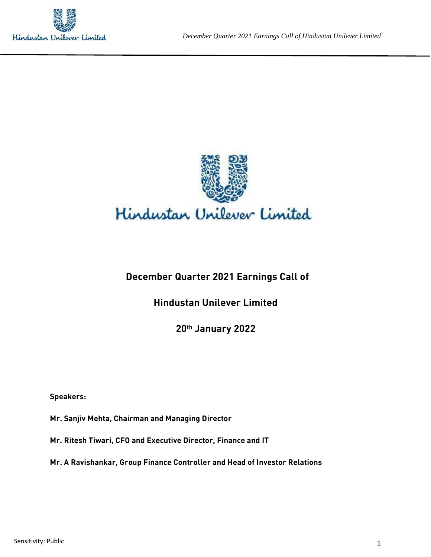



# **December Quarter 2021 Earnings Call of**

# **Hindustan Unilever Limited**

**20th January 2022**

**Speakers:** 

**Mr. Sanjiv Mehta, Chairman and Managing Director**

**Mr. Ritesh Tiwari, CFO and Executive Director, Finance and IT**

**Mr. A Ravishankar, Group Finance Controller and Head of Investor Relations**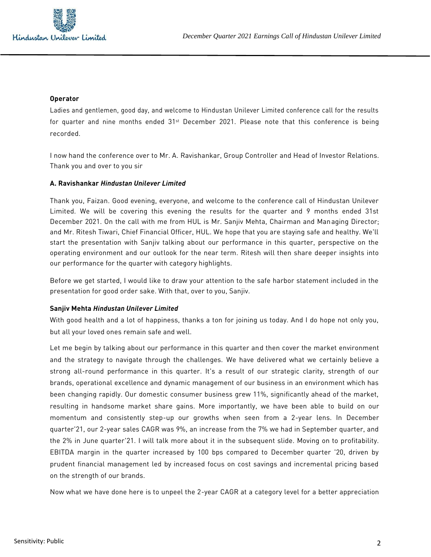

#### **Operator**

Ladies and gentlemen, good day, and welcome to Hindustan Unilever Limited conference call for the results for quarter and nine months ended  $31st$  December 2021. Please note that this conference is being recorded.

I now hand the conference over to Mr. A. Ravishankar, Group Controller and Head of Investor Relations. Thank you and over to you sir

#### **A. Ravishankar** *Hindustan Unilever Limited*

Thank you, Faizan. Good evening, everyone, and welcome to the conference call of Hindustan Unilever Limited. We will be covering this evening the results for the quarter and 9 months ended 31st December 2021. On the call with me from HUL is Mr. Sanjiv Mehta, Chairman and Managing Director; and Mr. Ritesh Tiwari, Chief Financial Officer, HUL. We hope that you are staying safe and healthy. We'll start the presentation with Sanjiv talking about our performance in this quarter, perspective on the operating environment and our outlook for the near term. Ritesh will then share deeper insights into our performance for the quarter with category highlights.

Before we get started, I would like to draw your attention to the safe harbor statement included in the presentation for good order sake. With that, over to you, Sanjiv.

#### **Sanjiv Mehta** *Hindustan Unilever Limited*

With good health and a lot of happiness, thanks a ton for joining us today. And I do hope not only you, but all your loved ones remain safe and well.

Let me begin by talking about our performance in this quarter and then cover the market environment and the strategy to navigate through the challenges. We have delivered what we certainly believe a strong all-round performance in this quarter. It's a result of our strategic clarity, strength of our brands, operational excellence and dynamic management of our business in an environment which has been changing rapidly. Our domestic consumer business grew 11%, significantly ahead of the market, resulting in handsome market share gains. More importantly, we have been able to build on our momentum and consistently step-up our growths when seen from a 2-year lens. In December quarter'21, our 2-year sales CAGR was 9%, an increase from the 7% we had in September quarter, and the 2% in June quarter'21. I will talk more about it in the subsequent slide. Moving on to profitability. EBITDA margin in the quarter increased by 100 bps compared to December quarter '20, driven by prudent financial management led by increased focus on cost savings and incremental pricing based on the strength of our brands.

Now what we have done here is to unpeel the 2-year CAGR at a category level for a better appreciation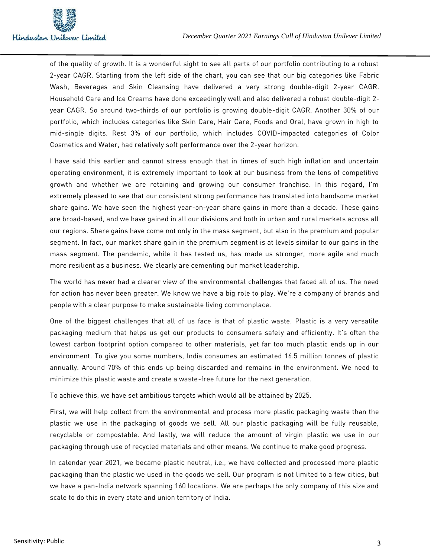

of the quality of growth. It is a wonderful sight to see all parts of our portfolio contributing to a robust 2-year CAGR. Starting from the left side of the chart, you can see that our big categories like Fabric Wash, Beverages and Skin Cleansing have delivered a very strong double-digit 2-year CAGR. Household Care and Ice Creams have done exceedingly well and also delivered a robust double-digit 2 year CAGR. So around two-thirds of our portfolio is growing double-digit CAGR. Another 30% of our portfolio, which includes categories like Skin Care, Hair Care, Foods and Oral, have grown in high to mid-single digits. Rest 3% of our portfolio, which includes COVID-impacted categories of Color Cosmetics and Water, had relatively soft performance over the 2-year horizon.

I have said this earlier and cannot stress enough that in times of such high inflation and uncertain operating environment, it is extremely important to look at our business from the lens of competitive growth and whether we are retaining and growing our consumer franchise. In this regard, I'm extremely pleased to see that our consistent strong performance has translated into handsome market share gains. We have seen the highest year-on-year share gains in more than a decade. These gains are broad-based, and we have gained in all our divisions and both in urban and rural markets across all our regions. Share gains have come not only in the mass segment, but also in the premium and popular segment. In fact, our market share gain in the premium segment is at levels similar to our gains in the mass segment. The pandemic, while it has tested us, has made us stronger, more agile and much more resilient as a business. We clearly are cementing our market leadership.

The world has never had a clearer view of the environmental challenges that faced all of us. The need for action has never been greater. We know we have a big role to play. We're a company of brands and people with a clear purpose to make sustainable living commonplace.

One of the biggest challenges that all of us face is that of plastic waste. Plastic is a very versatile packaging medium that helps us get our products to consumers safely and efficiently. It's often the lowest carbon footprint option compared to other materials, yet far too much plastic ends up in our environment. To give you some numbers, India consumes an estimated 16.5 million tonnes of plastic annually. Around 70% of this ends up being discarded and remains in the environment. We need to minimize this plastic waste and create a waste-free future for the next generation.

To achieve this, we have set ambitious targets which would all be attained by 2025.

First, we will help collect from the environmental and process more plastic packaging waste than the plastic we use in the packaging of goods we sell. All our plastic packaging will be fully reusable, recyclable or compostable. And lastly, we will reduce the amount of virgin plastic we use in our packaging through use of recycled materials and other means. We continue to make good progress.

In calendar year 2021, we became plastic neutral, i.e., we have collected and processed more plastic packaging than the plastic we used in the goods we sell. Our program is not limited to a few cities, but we have a pan-India network spanning 160 locations. We are perhaps the only company of this size and scale to do this in every state and union territory of India.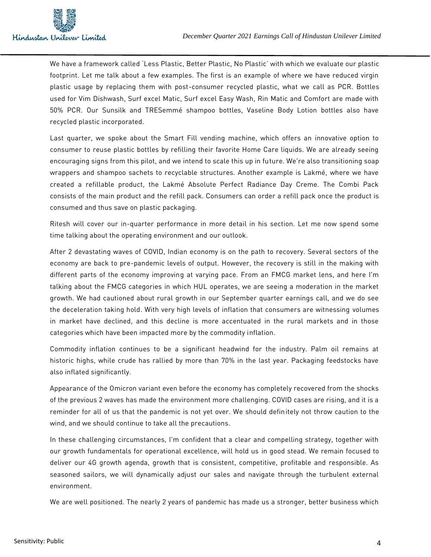

We have a framework called 'Less Plastic, Better Plastic, No Plastic' with which we evaluate our plastic footprint. Let me talk about a few examples. The first is an example of where we have reduced virgin plastic usage by replacing them with post-consumer recycled plastic, what we call as PCR. Bottles used for Vim Dishwash, Surf excel Matic, Surf excel Easy Wash, Rin Matic and Comfort are made with 50% PCR. Our Sunsilk and TRESemmé shampoo bottles, Vaseline Body Lotion bottles also have recycled plastic incorporated.

Last quarter, we spoke about the Smart Fill vending machine, which offers an innovative option to consumer to reuse plastic bottles by refilling their favorite Home Care liquids. We are already seeing encouraging signs from this pilot, and we intend to scale this up in future. We're also transitioning soap wrappers and shampoo sachets to recyclable structures. Another example is Lakmé, where we have created a refillable product, the Lakmé Absolute Perfect Radiance Day Creme. The Combi Pack consists of the main product and the refill pack. Consumers can order a refill pack once the product is consumed and thus save on plastic packaging.

Ritesh will cover our in-quarter performance in more detail in his section. Let me now spend some time talking about the operating environment and our outlook.

After 2 devastating waves of COVID, Indian economy is on the path to recovery. Several sectors of the economy are back to pre-pandemic levels of output. However, the recovery is still in the making with different parts of the economy improving at varying pace. From an FMCG market lens, and here I'm talking about the FMCG categories in which HUL operates, we are seeing a moderation in the market growth. We had cautioned about rural growth in our September quarter earnings call, and we do see the deceleration taking hold. With very high levels of inflation that consumers are witnessing volumes in market have declined, and this decline is more accentuated in the rural markets and in those categories which have been impacted more by the commodity inflation.

Commodity inflation continues to be a significant headwind for the industry. Palm oil remains at historic highs, while crude has rallied by more than 70% in the last year. Packaging feedstocks have also inflated significantly.

Appearance of the Omicron variant even before the economy has completely recovered from the shocks of the previous 2 waves has made the environment more challenging. COVID cases are rising, and it is a reminder for all of us that the pandemic is not yet over. We should definitely not throw caution to the wind, and we should continue to take all the precautions.

In these challenging circumstances, I'm confident that a clear and compelling strategy, together with our growth fundamentals for operational excellence, will hold us in good stead. We remain focused to deliver our 4G growth agenda, growth that is consistent, competitive, profitable and responsible. As seasoned sailors, we will dynamically adjust our sales and navigate through the turbulent external environment.

We are well positioned. The nearly 2 years of pandemic has made us a stronger, better business which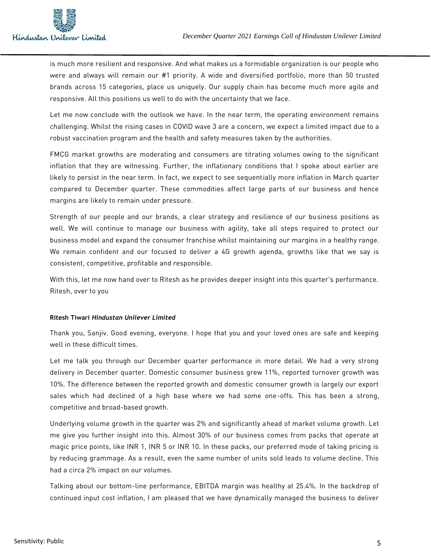

is much more resilient and responsive. And what makes us a formidable organization is our people who were and always will remain our #1 priority. A wide and diversified portfolio, more than 50 trusted brands across 15 categories, place us uniquely. Our supply chain has become much more agile and responsive. All this positions us well to do with the uncertainty that we face.

Let me now conclude with the outlook we have. In the near term, the operating environment remains challenging. Whilst the rising cases in COVID wave 3 are a concern, we expect a limited impact due to a robust vaccination program and the health and safety measures taken by the authorities.

FMCG market growths are moderating and consumers are titrating volumes owing to the significant inflation that they are witnessing. Further, the inflationary conditions that I spoke about earlier are likely to persist in the near term. In fact, we expect to see sequentially more inflation in March quarter compared to December quarter. These commodities affect large parts of our business and hence margins are likely to remain under pressure.

Strength of our people and our brands, a clear strategy and resilience of our business positions as well. We will continue to manage our business with agility, take all steps required to protect our business model and expand the consumer franchise whilst maintaining our margins in a healthy range. We remain confident and our focused to deliver a 4G growth agenda, growths like that we say is consistent, competitive, profitable and responsible.

With this, let me now hand over to Ritesh as he provides deeper insight into this quarter's performance. Ritesh, over to you

#### **Ritesh Tiwari** *Hindustan Unilever Limited*

Thank you, Sanjiv. Good evening, everyone. I hope that you and your loved ones are safe and keeping well in these difficult times.

Let me talk you through our December quarter performance in more detail. We had a very strong delivery in December quarter. Domestic consumer business grew 11%, reported turnover growth was 10%. The difference between the reported growth and domestic consumer growth is largely our export sales which had declined of a high base where we had some one-offs. This has been a strong, competitive and broad-based growth.

Underlying volume growth in the quarter was 2% and significantly ahead of market volume growth. Let me give you further insight into this. Almost 30% of our business comes from packs that operate at magic price points, like INR 1, INR 5 or INR 10. In these packs, our preferred mode of taking pricing is by reducing grammage. As a result, even the same number of units sold leads to volume decline. This had a circa 2% impact on our volumes.

Talking about our bottom-line performance, EBITDA margin was healthy at 25.4%. In the backdrop of continued input cost inflation, I am pleased that we have dynamically managed the business to deliver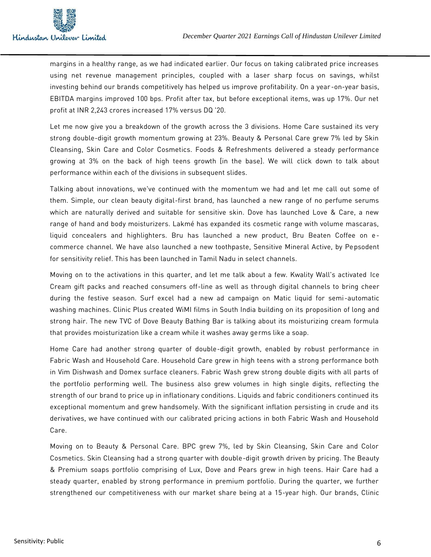

margins in a healthy range, as we had indicated earlier. Our focus on taking calibrated price increases using net revenue management principles, coupled with a laser sharp focus on savings, whilst investing behind our brands competitively has helped us improve profitability. On a year -on-year basis, EBITDA margins improved 100 bps. Profit after tax, but before exceptional items, was up 17%. Our net profit at INR 2,243 crores increased 17% versus DQ '20.

Let me now give you a breakdown of the growth across the 3 divisions. Home Care sustained its very strong double-digit growth momentum growing at 23%. Beauty & Personal Care grew 7% led by Skin Cleansing, Skin Care and Color Cosmetics. Foods & Refreshments delivered a steady performance growing at 3% on the back of high teens growth [in the base]. We will click down to talk about performance within each of the divisions in subsequent slides.

Talking about innovations, we've continued with the momentum we had and let me call out some of them. Simple, our clean beauty digital-first brand, has launched a new range of no perfume serums which are naturally derived and suitable for sensitive skin. Dove has launched Love & Care, a new range of hand and body moisturizers. Lakmé has expanded its cosmetic range with volume mascaras, liquid concealers and highlighters. Bru has launched a new product, Bru Beaten Coffee on ecommerce channel. We have also launched a new toothpaste, Sensitive Mineral Active, by Pepsodent for sensitivity relief. This has been launched in Tamil Nadu in select channels.

Moving on to the activations in this quarter, and let me talk about a few. Kwality Wall's activated Ice Cream gift packs and reached consumers off-line as well as through digital channels to bring cheer during the festive season. Surf excel had a new ad campaign on Matic liquid for semi -automatic washing machines. Clinic Plus created WiMI films in South India building on its proposition of long and strong hair. The new TVC of Dove Beauty Bathing Bar is talking about its moisturizing cream formula that provides moisturization like a cream while it washes away germs like a soap.

Home Care had another strong quarter of double-digit growth, enabled by robust performance in Fabric Wash and Household Care. Household Care grew in high teens with a strong performance both in Vim Dishwash and Domex surface cleaners. Fabric Wash grew strong double digits with all parts of the portfolio performing well. The business also grew volumes in high single digits, reflecting the strength of our brand to price up in inflationary conditions. Liquids and fabric conditioners continued its exceptional momentum and grew handsomely. With the significant inflation persisting in crude and its derivatives, we have continued with our calibrated pricing actions in both Fabric Wash and Household Care.

Moving on to Beauty & Personal Care. BPC grew 7%, led by Skin Cleansing, Skin Care and Color Cosmetics. Skin Cleansing had a strong quarter with double-digit growth driven by pricing. The Beauty & Premium soaps portfolio comprising of Lux, Dove and Pears grew in high teens. Hair Care had a steady quarter, enabled by strong performance in premium portfolio. During the quarter, we further strengthened our competitiveness with our market share being at a 15-year high. Our brands, Clinic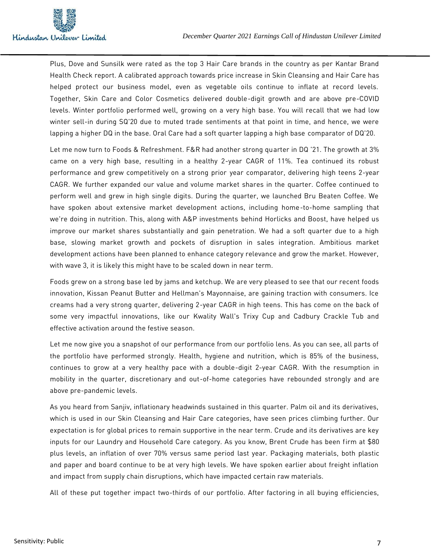

Plus, Dove and Sunsilk were rated as the top 3 Hair Care brands in the country as per Kantar Brand Health Check report. A calibrated approach towards price increase in Skin Cleansing and Hair Care has helped protect our business model, even as vegetable oils continue to inflate at record levels. Together, Skin Care and Color Cosmetics delivered double-digit growth and are above pre-COVID levels. Winter portfolio performed well, growing on a very high base. You will recall that we had low winter sell-in during SQ'20 due to muted trade sentiments at that point in time, and hence, we were lapping a higher DQ in the base. Oral Care had a soft quarter lapping a high base comparator of DQ'20.

Let me now turn to Foods & Refreshment. F&R had another strong quarter in DQ '21. The growth at 3% came on a very high base, resulting in a healthy 2-year CAGR of 11%. Tea continued its robust performance and grew competitively on a strong prior year comparator, delivering high teens 2-year CAGR. We further expanded our value and volume market shares in the quarter. Coffee continued to perform well and grew in high single digits. During the quarter, we launched Bru Beaten Coffee. We have spoken about extensive market development actions, including home-to-home sampling that we're doing in nutrition. This, along with A&P investments behind Horlicks and Boost, have helped us improve our market shares substantially and gain penetration. We had a soft quarter due to a high base, slowing market growth and pockets of disruption in sales integration. Ambitious market development actions have been planned to enhance category relevance and grow the market. However, with wave 3, it is likely this might have to be scaled down in near term.

Foods grew on a strong base led by jams and ketchup. We are very pleased to see that our recent foods innovation, Kissan Peanut Butter and Hellman's Mayonnaise, are gaining traction with consumers. Ice creams had a very strong quarter, delivering 2-year CAGR in high teens. This has come on the back of some very impactful innovations, like our Kwality Wall's Trixy Cup and Cadbury Crackle Tub and effective activation around the festive season.

Let me now give you a snapshot of our performance from our portfolio lens. As you can see, all parts of the portfolio have performed strongly. Health, hygiene and nutrition, which is 85% of the business, continues to grow at a very healthy pace with a double-digit 2-year CAGR. With the resumption in mobility in the quarter, discretionary and out-of-home categories have rebounded strongly and are above pre-pandemic levels.

As you heard from Sanjiv, inflationary headwinds sustained in this quarter. Palm oil and its derivatives, which is used in our Skin Cleansing and Hair Care categories, have seen prices climbing further. Our expectation is for global prices to remain supportive in the near term. Crude and its derivatives are key inputs for our Laundry and Household Care category. As you know, Brent Crude has been firm at \$80 plus levels, an inflation of over 70% versus same period last year. Packaging materials, both plastic and paper and board continue to be at very high levels. We have spoken earlier about freight inflation and impact from supply chain disruptions, which have impacted certain raw materials.

All of these put together impact two-thirds of our portfolio. After factoring in all buying efficiencies,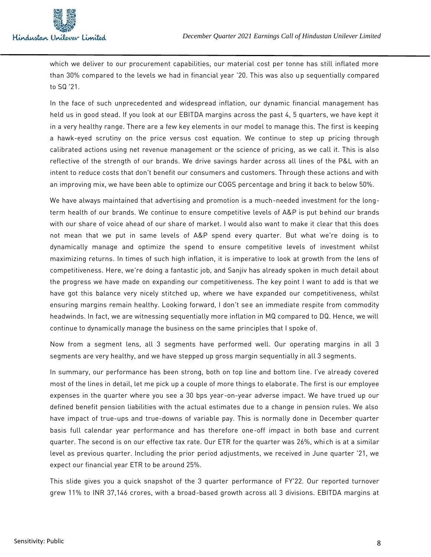

which we deliver to our procurement capabilities, our material cost per tonne has still inflated more than 30% compared to the levels we had in financial year '20. This was also up sequentially compared to SQ '21.

In the face of such unprecedented and widespread inflation, our dynamic financial management has held us in good stead. If you look at our EBITDA margins across the past 4, 5 quarters, we have kept it in a very healthy range. There are a few key elements in our model to manage this. The first is keeping a hawk-eyed scrutiny on the price versus cost equation. We continue to step up pricing through calibrated actions using net revenue management or the science of pricing, as we call it. This is also reflective of the strength of our brands. We drive savings harder across all lines of the P&L with an intent to reduce costs that don't benefit our consumers and customers. Through these actions and with an improving mix, we have been able to optimize our COGS percentage and bring it back to below 50%.

We have always maintained that advertising and promotion is a much-needed investment for the longterm health of our brands. We continue to ensure competitive levels of A&P is put behind our brands with our share of voice ahead of our share of market. I would also want to make it clear that this does not mean that we put in same levels of A&P spend every quarter. But what we're doing is to dynamically manage and optimize the spend to ensure competitive levels of investment whilst maximizing returns. In times of such high inflation, it is imperative to look at growth from the lens of competitiveness. Here, we're doing a fantastic job, and Sanjiv has already spoken in much detail about the progress we have made on expanding our competitiveness. The key point I want to add is that we have got this balance very nicely stitched up, where we have expanded our competitiveness, whilst ensuring margins remain healthy. Looking forward, I don't see an immediate respite from commodity headwinds. In fact, we are witnessing sequentially more inflation in MQ compared to DQ. Hence, we will continue to dynamically manage the business on the same principles that I spoke of.

Now from a segment lens, all 3 segments have performed well. Our operating margins in all 3 segments are very healthy, and we have stepped up gross margin sequentially in all 3 segments.

In summary, our performance has been strong, both on top line and bottom line. I've already covered most of the lines in detail, let me pick up a couple of more things to elaborate. The first is our employee expenses in the quarter where you see a 30 bps year-on-year adverse impact. We have trued up our defined benefit pension liabilities with the actual estimates due to a change in pension rules. We also have impact of true-ups and true-downs of variable pay. This is normally done in December quarter basis full calendar year performance and has therefore one-off impact in both base and current quarter. The second is on our effective tax rate. Our ETR for the quarter was 26%, which is at a similar level as previous quarter. Including the prior period adjustments, we received in June quarter '21, we expect our financial year ETR to be around 25%.

This slide gives you a quick snapshot of the 3 quarter performance of FY'22. Our reported turnover grew 11% to INR 37,146 crores, with a broad-based growth across all 3 divisions. EBITDA margins at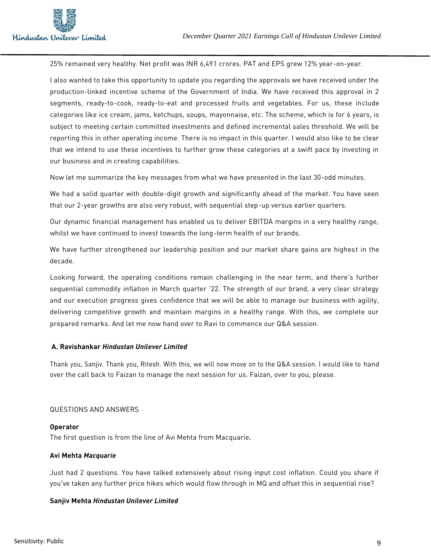

25% remained very healthy. Net profit was INR 6,491 crores. PAT and EPS grew 12% year-on-year.

I also wanted to take this opportunity to update you regarding the approvals we have received under the production-linked incentive scheme of the Government of India. We have received this approval in 2 segments, ready-to-cook, ready-to-eat and processed fruits and vegetables. For us, these include categories like ice cream, jams, ketchups, soups, mayonnaise, etc. The scheme, which is for 6 years, is subject to meeting certain committed investments and defined incremental sales threshold. We will be reporting this in other operating income. There is no impact in this quarter. I would also like to be clear that we intend to use these incentives to further grow these categories at a swift pace by investing in our business and in creating capabilities.

Now let me summarize the key messages from what we have presented in the last 30-odd minutes.

We had a solid quarter with double-digit growth and significantly ahead of the market. You have seen that our 2-year growths are also very robust, with sequential step-up versus earlier quarters.

Our dynamic financial management has enabled us to deliver EBITDA margins in a very healthy range, whilst we have continued to invest towards the long-term health of our brands.

We have further strengthened our leadership position and our market share gains are highest in the decade.

Looking forward, the operating conditions remain challenging in the near term, and there's further sequential commodity inflation in March quarter '22. The strength of our brand, a very clear strategy and our execution progress gives confidence that we will be able to manage our business with agility, delivering competitive growth and maintain margins in a healthy range. With this, we complete our prepared remarks. And let me now hand over to Ravi to commence our Q&A session.

## **A. Ravishankar** *Hindustan Unilever Limited*

Thank you, Sanjiv. Thank you, Ritesh. With this, we will now move on to the Q&A session. I would like to hand over the call back to Faizan to manage the next session for us. Faizan, over to you, please.

#### QUESTIONS AND ANSWERS

**Operator** The first question is from the line of Avi Mehta from Macquarie.

## **Avi Mehta** *Macquarie*

Just had 2 questions. You have talked extensively about rising input cost inflation. Could you share if you've taken any further price hikes which would flow through in MQ and offset this in sequential rise?

## **Sanjiv Mehta** *Hindustan Unilever Limited*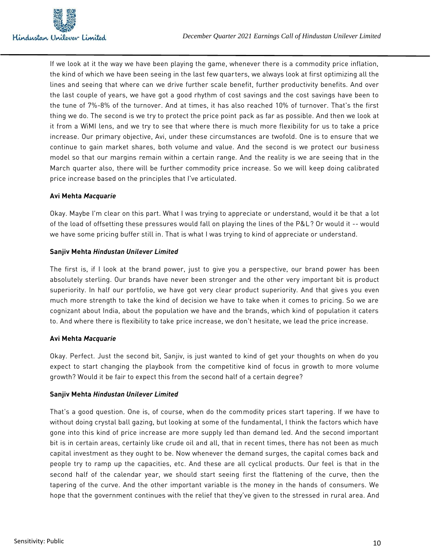

If we look at it the way we have been playing the game, whenever there is a commodity price inflation, the kind of which we have been seeing in the last few quarters, we always look at first optimizing all the lines and seeing that where can we drive further scale benefit, further productivity benefits. And over the last couple of years, we have got a good rhythm of cost savings and the cost savings have been to the tune of 7%-8% of the turnover. And at times, it has also reached 10% of turnover. That's the first thing we do. The second is we try to protect the price point pack as far as possible. And then we look at it from a WiMI lens, and we try to see that where there is much more flexibility for us to take a price increase. Our primary objective, Avi, under these circumstances are twofold. One is to ensure that we continue to gain market shares, both volume and value. And the second is we protect our business model so that our margins remain within a certain range. And the reality is we are seeing that in the March quarter also, there will be further commodity price increase. So we will keep doing calibrated price increase based on the principles that I've articulated.

# **Avi Mehta** *Macquarie*

Okay. Maybe I'm clear on this part. What I was trying to appreciate or understand, would it be that a lot of the load of offsetting these pressures would fall on playing the lines of the P&L? Or would it -- would we have some pricing buffer still in. That is what I was trying to kind of appreciate or understand.

## **Sanjiv Mehta** *Hindustan Unilever Limited*

The first is, if I look at the brand power, just to give you a perspective, our brand power has been absolutely sterling. Our brands have never been stronger and the other very important bit is product superiority. In half our portfolio, we have got very clear product superiority. And that gives you even much more strength to take the kind of decision we have to take when it comes to pricing. So we are cognizant about India, about the population we have and the brands, which kind of population it caters to. And where there is flexibility to take price increase, we don't hesitate, we lead the price increase.

## **Avi Mehta** *Macquarie*

Okay. Perfect. Just the second bit, Sanjiv, is just wanted to kind of get your thoughts on when do you expect to start changing the playbook from the competitive kind of focus in growth to more volume growth? Would it be fair to expect this from the second half of a certain degree?

## **Sanjiv Mehta** *Hindustan Unilever Limited*

That's a good question. One is, of course, when do the commodity prices start tapering. If we have to without doing crystal ball gazing, but looking at some of the fundamental, I think the factors which have gone into this kind of price increase are more supply led than demand led. And the second important bit is in certain areas, certainly like crude oil and all, that in recent times, there has not been as much capital investment as they ought to be. Now whenever the demand surges, the capital comes back and people try to ramp up the capacities, etc. And these are all cyclical products. Our feel is that in the second half of the calendar year, we should start seeing first the flattening of the curve, then the tapering of the curve. And the other important variable is the money in the hands of consumers. We hope that the government continues with the relief that they've given to the stressed in rural area. And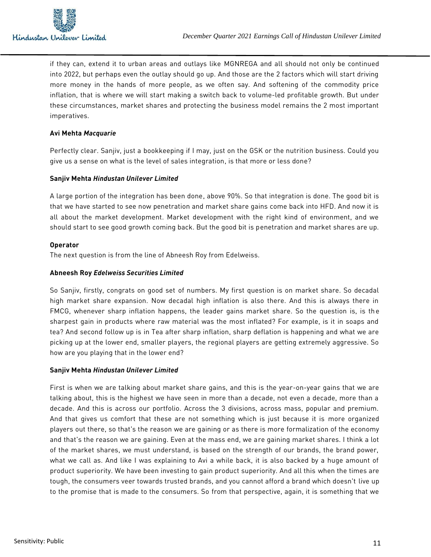

if they can, extend it to urban areas and outlays like MGNREGA and all should not only be continued into 2022, but perhaps even the outlay should go up. And those are the 2 factors which will start driving more money in the hands of more people, as we often say. And softening of the commodity price inflation, that is where we will start making a switch back to volume-led profitable growth. But under these circumstances, market shares and protecting the business model remains the 2 most important imperatives.

#### **Avi Mehta** *Macquarie*

Perfectly clear. Sanjiv, just a bookkeeping if I may, just on the GSK or the nutrition business. Could you give us a sense on what is the level of sales integration, is that more or less done?

## **Sanjiv Mehta** *Hindustan Unilever Limited*

A large portion of the integration has been done, above 90%. So that integration is done. The good bit is that we have started to see now penetration and market share gains come back into HFD. And now it is all about the market development. Market development with the right kind of environment, and we should start to see good growth coming back. But the good bit is penetration and market shares are up.

#### **Operator**

The next question is from the line of Abneesh Roy from Edelweiss.

#### **Abneesh Roy** *Edelweiss Securities Limited*

So Sanjiv, firstly, congrats on good set of numbers. My first question is on market share. So decadal high market share expansion. Now decadal high inflation is also there. And this is always there in FMCG, whenever sharp inflation happens, the leader gains market share. So the question is, is the sharpest gain in products where raw material was the most inflated? For example, is it in soaps and tea? And second follow up is in Tea after sharp inflation, sharp deflation is happening and what we are picking up at the lower end, smaller players, the regional players are getting extremely aggressive. So how are you playing that in the lower end?

## **Sanjiv Mehta** *Hindustan Unilever Limited*

First is when we are talking about market share gains, and this is the year-on-year gains that we are talking about, this is the highest we have seen in more than a decade, not even a decade, more than a decade. And this is across our portfolio. Across the 3 divisions, across mass, popular and premium. And that gives us comfort that these are not something which is just because it is more organized players out there, so that's the reason we are gaining or as there is more formalization of the economy and that's the reason we are gaining. Even at the mass end, we are gaining market shares. I think a lot of the market shares, we must understand, is based on the strength of our brands, the brand power, what we call as. And like I was explaining to Avi a while back, it is also backed by a huge amount of product superiority. We have been investing to gain product superiority. And all this when the times are tough, the consumers veer towards trusted brands, and you cannot afford a brand which doesn't live up to the promise that is made to the consumers. So from that perspective, again, it is something that we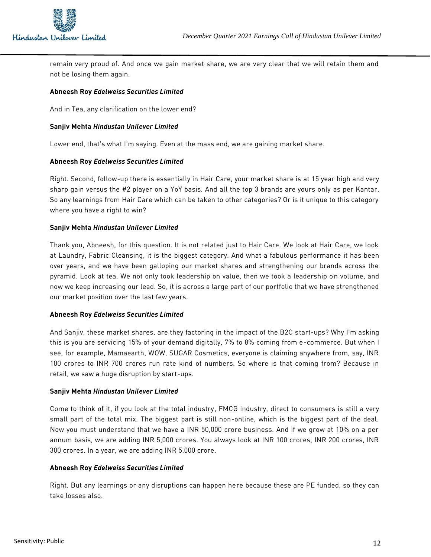

remain very proud of. And once we gain market share, we are very clear that we will retain them and not be losing them again.

## **Abneesh Roy** *Edelweiss Securities Limited*

And in Tea, any clarification on the lower end?

#### **Sanjiv Mehta** *Hindustan Unilever Limited*

Lower end, that's what I'm saying. Even at the mass end, we are gaining market share.

#### **Abneesh Roy** *Edelweiss Securities Limited*

Right. Second, follow-up there is essentially in Hair Care, your market share is at 15 year high and very sharp gain versus the #2 player on a YoY basis. And all the top 3 brands are yours only as per Kantar. So any learnings from Hair Care which can be taken to other categories? Or is it unique to this category where you have a right to win?

#### **Sanjiv Mehta** *Hindustan Unilever Limited*

Thank you, Abneesh, for this question. It is not related just to Hair Care. We look at Hair Care, we look at Laundry, Fabric Cleansing, it is the biggest category. And what a fabulous performance it has been over years, and we have been galloping our market shares and strengthening our brands across the pyramid. Look at tea. We not only took leadership on value, then we took a leadership on volume, and now we keep increasing our lead. So, it is across a large part of our portfolio that we have strengthened our market position over the last few years.

## **Abneesh Roy** *Edelweiss Securities Limited*

And Sanjiv, these market shares, are they factoring in the impact of the B2C start-ups? Why I'm asking this is you are servicing 15% of your demand digitally, 7% to 8% coming from e-commerce. But when I see, for example, Mamaearth, WOW, SUGAR Cosmetics, everyone is claiming anywhere from, say, INR 100 crores to INR 700 crores run rate kind of numbers. So where is that coming from? Because in retail, we saw a huge disruption by start-ups.

#### **Sanjiv Mehta** *Hindustan Unilever Limited*

Come to think of it, if you look at the total industry, FMCG industry, direct to consumers is still a very small part of the total mix. The biggest part is still non-online, which is the biggest part of the deal. Now you must understand that we have a INR 50,000 crore business. And if we grow at 10% on a per annum basis, we are adding INR 5,000 crores. You always look at INR 100 crores, INR 200 crores, INR 300 crores. In a year, we are adding INR 5,000 crore.

## **Abneesh Roy** *Edelweiss Securities Limited*

Right. But any learnings or any disruptions can happen here because these are PE funded, so they can take losses also.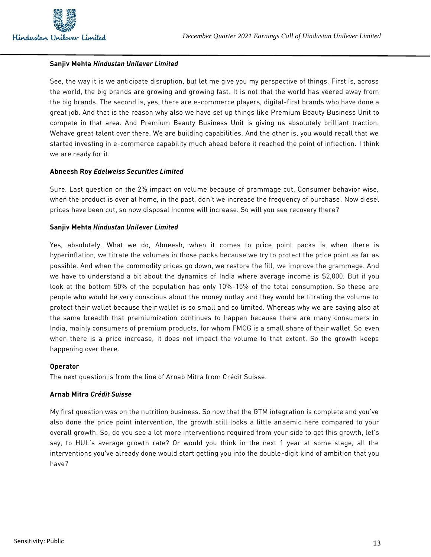

## **Sanjiv Mehta** *Hindustan Unilever Limited*

See, the way it is we anticipate disruption, but let me give you my perspective of things. First is, across the world, the big brands are growing and growing fast. It is not that the world has veered away from the big brands. The second is, yes, there are e-commerce players, digital-first brands who have done a great job. And that is the reason why also we have set up things like Premium Beauty Business Unit to compete in that area. And Premium Beauty Business Unit is giving us absolutely brilliant traction. Wehave great talent over there. We are building capabilities. And the other is, you would recall that we started investing in e-commerce capability much ahead before it reached the point of inflection. I think we are ready for it.

#### **Abneesh Roy** *Edelweiss Securities Limited*

Sure. Last question on the 2% impact on volume because of grammage cut. Consumer behavior wise, when the product is over at home, in the past, don't we increase the frequency of purchase. Now diesel prices have been cut, so now disposal income will increase. So will you see recovery there?

#### **Sanjiv Mehta** *Hindustan Unilever Limited*

Yes, absolutely. What we do, Abneesh, when it comes to price point packs is when there is hyperinflation, we titrate the volumes in those packs because we try to protect the price point as far as possible. And when the commodity prices go down, we restore the fill, we improve the grammage. And we have to understand a bit about the dynamics of India where average income is \$2,000. But if you look at the bottom 50% of the population has only 10%-15% of the total consumption. So these are people who would be very conscious about the money outlay and they would be titrating the volume to protect their wallet because their wallet is so small and so limited. Whereas why we are saying also at the same breadth that premiumization continues to happen because there are many consumers in India, mainly consumers of premium products, for whom FMCG is a small share of their wallet. So even when there is a price increase, it does not impact the volume to that extent. So the growth keeps happening over there.

#### **Operator**

The next question is from the line of Arnab Mitra from Crédit Suisse.

#### **Arnab Mitra** *Crédit Suisse*

My first question was on the nutrition business. So now that the GTM integration is complete and you've also done the price point intervention, the growth still looks a little anaemic here compared to your overall growth. So, do you see a lot more interventions required from your side to get this growth, let's say, to HUL's average growth rate? Or would you think in the next 1 year at some stage, all the interventions you've already done would start getting you into the double-digit kind of ambition that you have?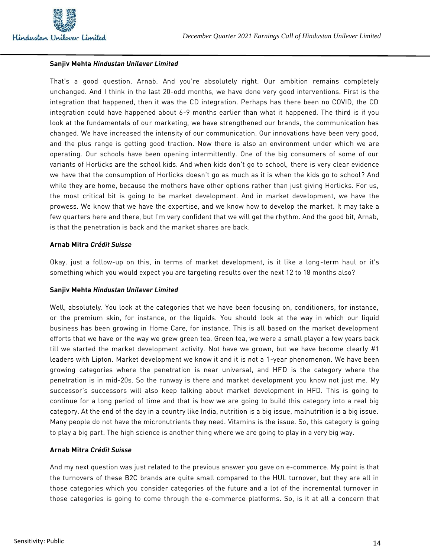

#### **Sanjiv Mehta** *Hindustan Unilever Limited*

That's a good question, Arnab. And you're absolutely right. Our ambition remains completely unchanged. And I think in the last 20-odd months, we have done very good interventions. First is the integration that happened, then it was the CD integration. Perhaps has there been no COVID, the CD integration could have happened about 6-9 months earlier than what it happened. The third is if you look at the fundamentals of our marketing, we have strengthened our brands, the communication has changed. We have increased the intensity of our communication. Our innovations have been very good, and the plus range is getting good traction. Now there is also an environment under which we are operating. Our schools have been opening intermittently. One of the big consumers of some of our variants of Horlicks are the school kids. And when kids don't go to school, there is very clear evidence we have that the consumption of Horlicks doesn't go as much as it is when the kids go to school? And while they are home, because the mothers have other options rather than just giving Horlicks. For us, the most critical bit is going to be market development. And in market development, we have the prowess. We know that we have the expertise, and we know how to develop the market. It may take a few quarters here and there, but I'm very confident that we will get the rhythm. And the good bit, Arnab, is that the penetration is back and the market shares are back.

#### **Arnab Mitra** *Crédit Suisse*

Okay. just a follow-up on this, in terms of market development, is it like a long-term haul or it's something which you would expect you are targeting results over the next 12 to 18 months also?

#### **Sanjiv Mehta** *Hindustan Unilever Limited*

Well, absolutely. You look at the categories that we have been focusing on, conditioners, for instance, or the premium skin, for instance, or the liquids. You should look at the way in which our liquid business has been growing in Home Care, for instance. This is all based on the market development efforts that we have or the way we grew green tea. Green tea, we were a small player a few years back till we started the market development activity. Not have we grown, but we have become clearly #1 leaders with Lipton. Market development we know it and it is not a 1-year phenomenon. We have been growing categories where the penetration is near universal, and HFD is the category where the penetration is in mid-20s. So the runway is there and market development you know not just me. My successor's successors will also keep talking about market development in HFD. This is going to continue for a long period of time and that is how we are going to build this category into a real big category. At the end of the day in a country like India, nutrition is a big issue, malnutrition is a big issue. Many people do not have the micronutrients they need. Vitamins is the issue. So, this category is going to play a big part. The high science is another thing where we are going to play in a very big way.

#### **Arnab Mitra** *Crédit Suisse*

And my next question was just related to the previous answer you gave on e-commerce. My point is that the turnovers of these B2C brands are quite small compared to the HUL turnover, but they are all in those categories which you consider categories of the future and a lot of the incremental turnover in those categories is going to come through the e-commerce platforms. So, is it at all a concern that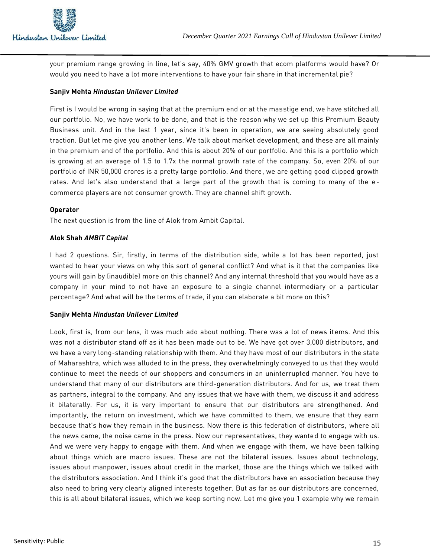

your premium range growing in line, let's say, 40% GMV growth that ecom platforms would have? Or would you need to have a lot more interventions to have your fair share in that incremental pie?

## **Sanjiv Mehta** *Hindustan Unilever Limited*

First is I would be wrong in saying that at the premium end or at the masstige end, we have stitched all our portfolio. No, we have work to be done, and that is the reason why we set up this Premium Beauty Business unit. And in the last 1 year, since it's been in operation, we are seeing absolutely good traction. But let me give you another lens. We talk about market development, and these are all mainly in the premium end of the portfolio. And this is about 20% of our portfolio. And this is a portfolio which is growing at an average of 1.5 to 1.7x the normal growth rate of the company. So, even 20% of our portfolio of INR 50,000 crores is a pretty large portfolio. And there, we are getting good clipped growth rates. And let's also understand that a large part of the growth that is coming to many of the ecommerce players are not consumer growth. They are channel shift growth.

## **Operator**

The next question is from the line of Alok from Ambit Capital.

# **Alok Shah** *AMBIT Capital*

I had 2 questions. Sir, firstly, in terms of the distribution side, while a lot has been reported, just wanted to hear your views on why this sort of general conflict? And what is it that the companies like yours will gain by (inaudible) more on this channel? And any internal threshold that you would have as a company in your mind to not have an exposure to a single channel intermediary or a particular percentage? And what will be the terms of trade, if you can elaborate a bit more on this?

## **Sanjiv Mehta** *Hindustan Unilever Limited*

Look, first is, from our lens, it was much ado about nothing. There was a lot of news items. And this was not a distributor stand off as it has been made out to be. We have got over 3,000 distributors, and we have a very long-standing relationship with them. And they have most of our distributors in the state of Maharashtra, which was alluded to in the press, they overwhelmingly conveyed to us that they would continue to meet the needs of our shoppers and consumers in an uninterrupted manner. You have to understand that many of our distributors are third-generation distributors. And for us, we treat them as partners, integral to the company. And any issues that we have with them, we discuss it and address it bilaterally. For us, it is very important to ensure that our distributors are strengthened. And importantly, the return on investment, which we have committed to them, we ensure that they earn because that's how they remain in the business. Now there is this federation of distributors, where all the news came, the noise came in the press. Now our representatives, they wanted to engage with us. And we were very happy to engage with them. And when we engage with them, we have been talking about things which are macro issues. These are not the bilateral issues. Issues about technology, issues about manpower, issues about credit in the market, those are the things which we talked with the distributors association. And I think it's good that the distributors have an association because they also need to bring very clearly aligned interests together. But as far as our distributors are concerned, this is all about bilateral issues, which we keep sorting now. Let me give you 1 example why we remain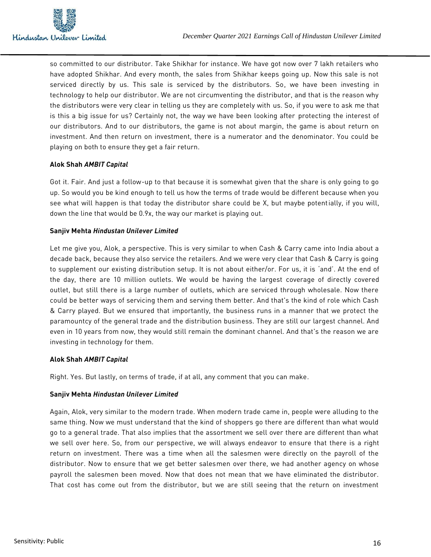

so committed to our distributor. Take Shikhar for instance. We have got now over 7 lakh retailers who have adopted Shikhar. And every month, the sales from Shikhar keeps going up. Now this sale is not serviced directly by us. This sale is serviced by the distributors. So, we have been investing in technology to help our distributor. We are not circumventing the distributor, and that is the reason why the distributors were very clear in telling us they are completely with us. So, if you were to ask me that is this a big issue for us? Certainly not, the way we have been looking after protecting the interest of our distributors. And to our distributors, the game is not about margin, the game is about return on investment. And then return on investment, there is a numerator and the denominator. You could be playing on both to ensure they get a fair return.

# **Alok Shah** *AMBIT Capital*

Got it. Fair. And just a follow-up to that because it is somewhat given that the share is only going to go up. So would you be kind enough to tell us how the terms of trade would be different because when you see what will happen is that today the distributor share could be X, but maybe potentially, if you will, down the line that would be 0.9x, the way our market is playing out.

## **Sanjiv Mehta** *Hindustan Unilever Limited*

Let me give you, Alok, a perspective. This is very similar to when Cash & Carry came into India about a decade back, because they also service the retailers. And we were very clear that Cash & Carry is going to supplement our existing distribution setup. It is not about either/or. For us, it is 'and'. At the end of the day, there are 10 million outlets. We would be having the largest coverage of directly covered outlet, but still there is a large number of outlets, which are serviced through wholesale. Now there could be better ways of servicing them and serving them better. And that's the kind of role which Cash & Carry played. But we ensured that importantly, the business runs in a manner that we protect the paramountcy of the general trade and the distribution business. They are still our largest channel. And even in 10 years from now, they would still remain the dominant channel. And that's the reason we are investing in technology for them.

## **Alok Shah** *AMBIT Capital*

Right. Yes. But lastly, on terms of trade, if at all, any comment that you can make.

## **Sanjiv Mehta** *Hindustan Unilever Limited*

Again, Alok, very similar to the modern trade. When modern trade came in, people were alluding to the same thing. Now we must understand that the kind of shoppers go there are different than what would go to a general trade. That also implies that the assortment we sell over there are different than what we sell over here. So, from our perspective, we will always endeavor to ensure that there is a right return on investment. There was a time when all the salesmen were directly on the payroll of the distributor. Now to ensure that we get better salesmen over there, we had another agency on whose payroll the salesmen been moved. Now that does not mean that we have eliminated the distributor. That cost has come out from the distributor, but we are still seeing that the return on investment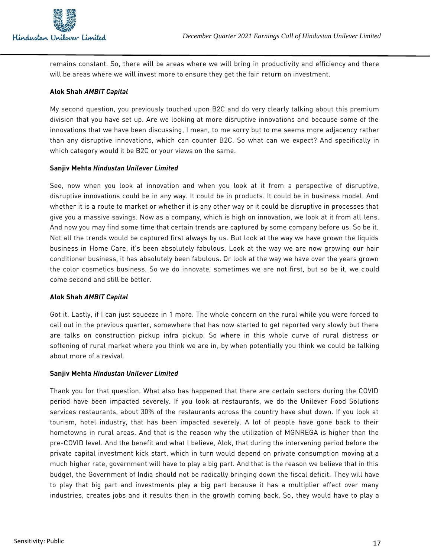

remains constant. So, there will be areas where we will bring in productivity and efficiency and there will be areas where we will invest more to ensure they get the fair return on investment.

# **Alok Shah** *AMBIT Capital*

My second question, you previously touched upon B2C and do very clearly talking about this premium division that you have set up. Are we looking at more disruptive innovations and because some of the innovations that we have been discussing, I mean, to me sorry but to me seems more adjacency rather than any disruptive innovations, which can counter B2C. So what can we expect? And specifically in which category would it be B2C or your views on the same.

## **Sanjiv Mehta** *Hindustan Unilever Limited*

See, now when you look at innovation and when you look at it from a perspective of disruptive, disruptive innovations could be in any way. It could be in products. It could be in business model. And whether it is a route to market or whether it is any other way or it could be disruptive in processes that give you a massive savings. Now as a company, which is high on innovation, we look at it from all lens. And now you may find some time that certain trends are captured by some company before us. So be it. Not all the trends would be captured first always by us. But look at the way we have grown the liquids business in Home Care, it's been absolutely fabulous. Look at the way we are now growing our hair conditioner business, it has absolutely been fabulous. Or look at the way we have over the years grown the color cosmetics business. So we do innovate, sometimes we are not first, but so be it, we could come second and still be better.

## **Alok Shah** *AMBIT Capital*

Got it. Lastly, if I can just squeeze in 1 more. The whole concern on the rural while you were forced to call out in the previous quarter, somewhere that has now started to get reported very slowly but there are talks on construction pickup infra pickup. So where in this whole curve of rural distress or softening of rural market where you think we are in, by when potentially you think we could be talking about more of a revival.

## **Sanjiv Mehta** *Hindustan Unilever Limited*

Thank you for that question. What also has happened that there are certain sectors during the COVID period have been impacted severely. If you look at restaurants, we do the Unilever Food Solutions services restaurants, about 30% of the restaurants across the country have shut down. If you look at tourism, hotel industry, that has been impacted severely. A lot of people have gone back to their hometowns in rural areas. And that is the reason why the utilization of MGNREGA is higher than the pre-COVID level. And the benefit and what I believe, Alok, that during the intervening period before the private capital investment kick start, which in turn would depend on private consumption moving at a much higher rate, government will have to play a big part. And that is the reason we believe that in this budget, the Government of India should not be radically bringing down the fiscal deficit. They will have to play that big part and investments play a big part because it has a multiplier effect over many industries, creates jobs and it results then in the growth coming back. So, they would have to play a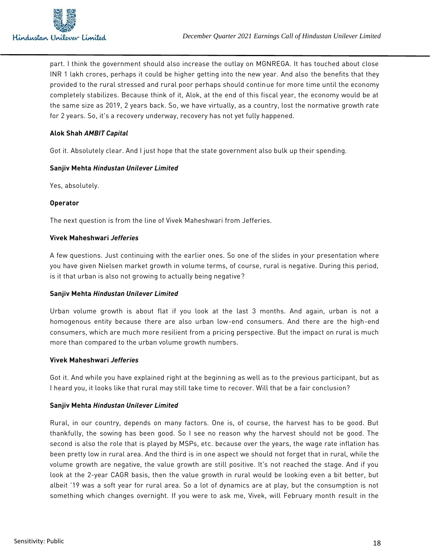

part. I think the government should also increase the outlay on MGNREGA. It has touched about close INR 1 lakh crores, perhaps it could be higher getting into the new year. And also the benefits that they provided to the rural stressed and rural poor perhaps should continue for more time until the economy completely stabilizes. Because think of it, Alok, at the end of this fiscal year, the economy would be at the same size as 2019, 2 years back. So, we have virtually, as a country, lost the normative growth rate for 2 years. So, it's a recovery underway, recovery has not yet fully happened.

# **Alok Shah** *AMBIT Capital*

Got it. Absolutely clear. And I just hope that the state government also bulk up their spending.

## **Sanjiv Mehta** *Hindustan Unilever Limited*

Yes, absolutely.

## **Operator**

The next question is from the line of Vivek Maheshwari from Jefferies.

#### **Vivek Maheshwari** *Jefferies*

A few questions. Just continuing with the earlier ones. So one of the slides in your presentation where you have given Nielsen market growth in volume terms, of course, rural is negative. During this period, is it that urban is also not growing to actually being negative?

## **Sanjiv Mehta** *Hindustan Unilever Limited*

Urban volume growth is about flat if you look at the last 3 months. And again, urban is not a homogenous entity because there are also urban low-end consumers. And there are the high-end consumers, which are much more resilient from a pricing perspective. But the impact on rural is much more than compared to the urban volume growth numbers.

## **Vivek Maheshwari** *Jefferies*

Got it. And while you have explained right at the beginning as well as to the previous participant, but as I heard you, it looks like that rural may still take time to recover. Will that be a fair conclusion?

## **Sanjiv Mehta** *Hindustan Unilever Limited*

Rural, in our country, depends on many factors. One is, of course, the harvest has to be good. But thankfully, the sowing has been good. So I see no reason why the harvest should not be good. The second is also the role that is played by MSPs, etc. because over the years, the wage rate inflation has been pretty low in rural area. And the third is in one aspect we should not forget that in rural, while the volume growth are negative, the value growth are still positive. It's not reached the stage. And if you look at the 2-year CAGR basis, then the value growth in rural would be looking even a bit better, but albeit '19 was a soft year for rural area. So a lot of dynamics are at play, but the consumption is not something which changes overnight. If you were to ask me, Vivek, will February month result in the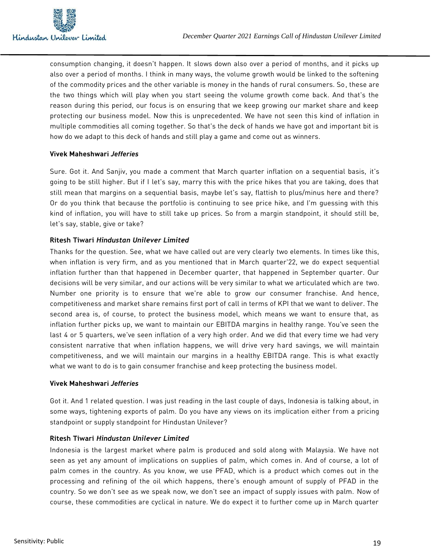

consumption changing, it doesn't happen. It slows down also over a period of months, and it picks up also over a period of months. I think in many ways, the volume growth would be linked to the softening of the commodity prices and the other variable is money in the hands of rural consumers. So, these are the two things which will play when you start seeing the volume growth come back. And that's the reason during this period, our focus is on ensuring that we keep growing our market share and keep protecting our business model. Now this is unprecedented. We have not seen this kind of inflation in multiple commodities all coming together. So that's the deck of hands we have got and important bit is how do we adapt to this deck of hands and still play a game and come out as winners.

## **Vivek Maheshwari** *Jefferies*

Sure. Got it. And Sanjiv, you made a comment that March quarter inflation on a sequential basis, it's going to be still higher. But if I let's say, marry this with the price hikes that you are taking, does that still mean that margins on a sequential basis, maybe let's say, flattish to plus/minus here and there? Or do you think that because the portfolio is continuing to see price hike, and I'm guessing with this kind of inflation, you will have to still take up prices. So from a margin standpoint, it should still be, let's say, stable, give or take?

## **Ritesh Tiwari** *Hindustan Unilever Limited*

Thanks for the question. See, what we have called out are very clearly two elements. In times like this, when inflation is very firm, and as you mentioned that in March quarter'22, we do expect sequential inflation further than that happened in December quarter, that happened in September quarter. Our decisions will be very similar, and our actions will be very similar to what we articulated which are two. Number one priority is to ensure that we're able to grow our consumer franchise. And hence, competitiveness and market share remains first port of call in terms of KPI that we want to deliver. The second area is, of course, to protect the business model, which means we want to ensure that, as inflation further picks up, we want to maintain our EBITDA margins in healthy range. You've seen the last 4 or 5 quarters, we've seen inflation of a very high order. And we did that every time we had very consistent narrative that when inflation happens, we will drive very hard savings, we will maintain competitiveness, and we will maintain our margins in a healthy EBITDA range. This is what exactly what we want to do is to gain consumer franchise and keep protecting the business model.

## **Vivek Maheshwari** *Jefferies*

Got it. And 1 related question. I was just reading in the last couple of days, Indonesia is talking about, in some ways, tightening exports of palm. Do you have any views on its implication either from a pricing standpoint or supply standpoint for Hindustan Unilever?

## **Ritesh Tiwari** *Hindustan Unilever Limited*

Indonesia is the largest market where palm is produced and sold along with Malaysia. We have not seen as yet any amount of implications on supplies of palm, which comes in. And of course, a lot of palm comes in the country. As you know, we use PFAD, which is a product which comes out in the processing and refining of the oil which happens, there's enough amount of supply of PFAD in the country. So we don't see as we speak now, we don't see an impact of supply issues with palm. Now of course, these commodities are cyclical in nature. We do expect it to further come up in March quarter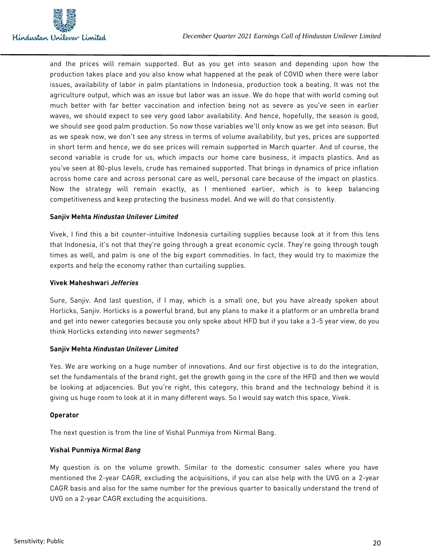

and the prices will remain supported. But as you get into season and depending upon how the production takes place and you also know what happened at the peak of COVID when there were labor issues, availability of labor in palm plantations in Indonesia, production took a beating. It was not the agriculture output, which was an issue but labor was an issue. We do hope that with world coming out much better with far better vaccination and infection being not as severe as you've seen in earlier waves, we should expect to see very good labor availability. And hence, hopefully, the season is good, we should see good palm production. So now those variables we'll only know as we get into season. But as we speak now, we don't see any stress in terms of volume availability, but yes, prices are supported in short term and hence, we do see prices will remain supported in March quarter. And of course, the second variable is crude for us, which impacts our home care business, it impacts plastics. And as you've seen at 80-plus levels, crude has remained supported. That brings in dynamics of price inflation across home care and across personal care as well, personal care because of the impact on plastics. Now the strategy will remain exactly, as I mentioned earlier, which is to keep balancing competitiveness and keep protecting the business model. And we will do that consistently.

## **Sanjiv Mehta** *Hindustan Unilever Limited*

Vivek, I find this a bit counter-intuitive Indonesia curtailing supplies because look at it from this lens that Indonesia, it's not that they're going through a great economic cycle. They're going through tough times as well, and palm is one of the big export commodities. In fact, they would try to maximize the exports and help the economy rather than curtailing supplies.

#### **Vivek Maheshwari** *Jefferies*

Sure, Sanjiv. And last question, if I may, which is a small one, but you have already spoken about Horlicks, Sanjiv. Horlicks is a powerful brand, but any plans to make it a platform or an umbrella brand and get into newer categories because you only spoke about HFD but if you take a 3-5 year view, do you think Horlicks extending into newer segments?

## **Sanjiv Mehta** *Hindustan Unilever Limited*

Yes. We are working on a huge number of innovations. And our first objective is to do the integration, set the fundamentals of the brand right, get the growth going in the core of the HFD and then we would be looking at adjacencies. But you're right, this category, this brand and the technology behind it is giving us huge room to look at it in many different ways. So I would say watch this space, Vivek.

#### **Operator**

The next question is from the line of Vishal Punmiya from Nirmal Bang.

# **Vishal Punmiya** *Nirmal Bang*

My question is on the volume growth. Similar to the domestic consumer sales where you have mentioned the 2-year CAGR, excluding the acquisitions, if you can also help with the UVG on a 2-year CAGR basis and also for the same number for the previous quarter to basically understand the trend of UVG on a 2-year CAGR excluding the acquisitions.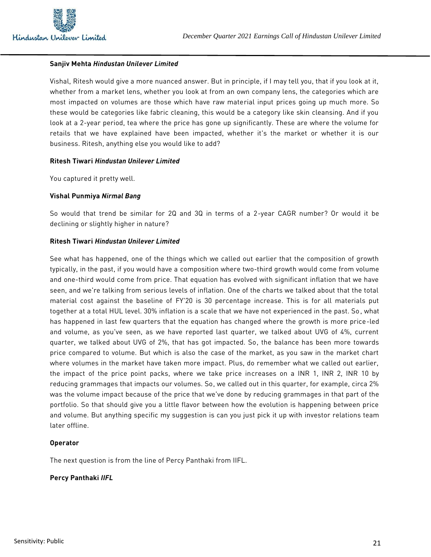

#### **Sanjiv Mehta** *Hindustan Unilever Limited*

Vishal, Ritesh would give a more nuanced answer. But in principle, if I may tell you, that if you look at it, whether from a market lens, whether you look at from an own company lens, the categories which are most impacted on volumes are those which have raw material input prices going up much more. So these would be categories like fabric cleaning, this would be a category like skin cleansing. And if you look at a 2-year period, tea where the price has gone up significantly. These are where the volume for retails that we have explained have been impacted, whether it's the market or whether it is our business. Ritesh, anything else you would like to add?

#### **Ritesh Tiwari** *Hindustan Unilever Limited*

You captured it pretty well.

#### **Vishal Punmiya** *Nirmal Bang*

So would that trend be similar for 2Q and 3Q in terms of a 2-year CAGR number? Or would it be declining or slightly higher in nature?

#### **Ritesh Tiwari** *Hindustan Unilever Limited*

See what has happened, one of the things which we called out earlier that the composition of growth typically, in the past, if you would have a composition where two-third growth would come from volume and one-third would come from price. That equation has evolved with significant inflation that we have seen, and we're talking from serious levels of inflation. One of the charts we talked about that the total material cost against the baseline of FY'20 is 30 percentage increase. This is for all materials put together at a total HUL level. 30% inflation is a scale that we have not experienced in the past. So, what has happened in last few quarters that the equation has changed where the growth is more price-led and volume, as you've seen, as we have reported last quarter, we talked about UVG of 4%, current quarter, we talked about UVG of 2%, that has got impacted. So, the balance has been more towards price compared to volume. But which is also the case of the market, as you saw in the market chart where volumes in the market have taken more impact. Plus, do remember what we called out earlier, the impact of the price point packs, where we take price increases on a INR 1, INR 2, INR 10 by reducing grammages that impacts our volumes. So, we called out in this quarter, for example, circa 2% was the volume impact because of the price that we've done by reducing grammages in that part of the portfolio. So that should give you a little flavor between how the evolution is happening between price and volume. But anything specific my suggestion is can you just pick it up with investor relations team later offline.

## **Operator**

The next question is from the line of Percy Panthaki from IIFL.

## **Percy Panthaki** *IIFL*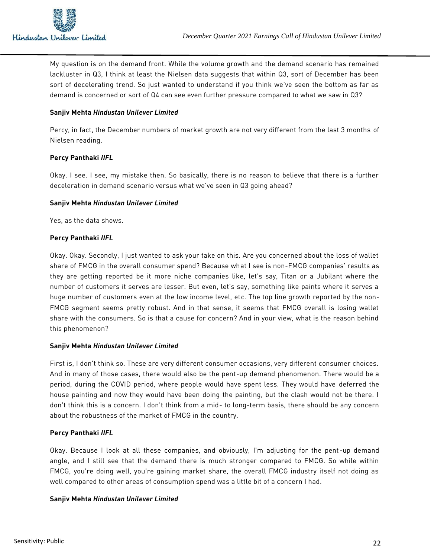

My question is on the demand front. While the volume growth and the demand scenario has remained lackluster in Q3, I think at least the Nielsen data suggests that within Q3, sort of December has been sort of decelerating trend. So just wanted to understand if you think we've seen the bottom as far as demand is concerned or sort of Q4 can see even further pressure compared to what we saw in Q3?

## **Sanjiv Mehta** *Hindustan Unilever Limited*

Percy, in fact, the December numbers of market growth are not very different from the last 3 months of Nielsen reading.

# **Percy Panthaki** *IIFL*

Okay. I see. I see, my mistake then. So basically, there is no reason to believe that there is a further deceleration in demand scenario versus what we've seen in Q3 going ahead?

## **Sanjiv Mehta** *Hindustan Unilever Limited*

Yes, as the data shows.

# **Percy Panthaki** *IIFL*

Okay. Okay. Secondly, I just wanted to ask your take on this. Are you concerned about the loss of wallet share of FMCG in the overall consumer spend? Because what I see is non-FMCG companies' results as they are getting reported be it more niche companies like, let's say, Titan or a Jubilant where the number of customers it serves are lesser. But even, let's say, something like paints where it serves a huge number of customers even at the low income level, etc. The top line growth reported by the non-FMCG segment seems pretty robust. And in that sense, it seems that FMCG overall is losing wallet share with the consumers. So is that a cause for concern? And in your view, what is the reason behind this phenomenon?

## **Sanjiv Mehta** *Hindustan Unilever Limited*

First is, I don't think so. These are very different consumer occasions, very different consumer choices. And in many of those cases, there would also be the pent-up demand phenomenon. There would be a period, during the COVID period, where people would have spent less. They would have deferred the house painting and now they would have been doing the painting, but the clash would not be there. I don't think this is a concern. I don't think from a mid- to long-term basis, there should be any concern about the robustness of the market of FMCG in the country.

## **Percy Panthaki** *IIFL*

Okay. Because I look at all these companies, and obviously, I'm adjusting for the pent -up demand angle, and I still see that the demand there is much stronger compared to FMCG. So while within FMCG, you're doing well, you're gaining market share, the overall FMCG industry itself not doing as well compared to other areas of consumption spend was a little bit of a concern I had.

## **Sanjiv Mehta** *Hindustan Unilever Limited*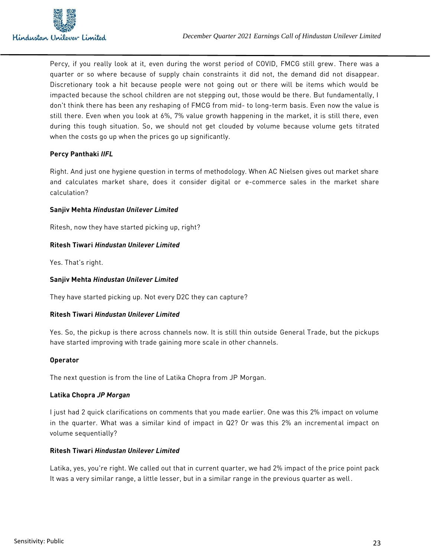Percy, if you really look at it, even during the worst period of COVID, FMCG still grew. There was a quarter or so where because of supply chain constraints it did not, the demand did not disappear. Discretionary took a hit because people were not going out or there will be items which would be impacted because the school children are not stepping out, those would be there. But fundamentally, I don't think there has been any reshaping of FMCG from mid- to long-term basis. Even now the value is still there. Even when you look at 6%, 7% value growth happening in the market, it is still there, even during this tough situation. So, we should not get clouded by volume because volume gets titrated when the costs go up when the prices go up significantly.

# **Percy Panthaki** *IIFL*

Right. And just one hygiene question in terms of methodology. When AC Nielsen gives out market share and calculates market share, does it consider digital or e-commerce sales in the market share calculation?

## **Sanjiv Mehta** *Hindustan Unilever Limited*

Ritesh, now they have started picking up, right?

## **Ritesh Tiwari** *Hindustan Unilever Limited*

Yes. That's right.

#### **Sanjiv Mehta** *Hindustan Unilever Limited*

They have started picking up. Not every D2C they can capture?

## **Ritesh Tiwari** *Hindustan Unilever Limited*

Yes. So, the pickup is there across channels now. It is still thin outside General Trade, but the pickups have started improving with trade gaining more scale in other channels.

#### **Operator**

The next question is from the line of Latika Chopra from JP Morgan.

## **Latika Chopra** *JP Morgan*

I just had 2 quick clarifications on comments that you made earlier. One was this 2% impact on volume in the quarter. What was a similar kind of impact in Q2? Or was this 2% an incremental impact on volume sequentially?

## **Ritesh Tiwari** *Hindustan Unilever Limited*

Latika, yes, you're right. We called out that in current quarter, we had 2% impact of the price point pack It was a very similar range, a little lesser, but in a similar range in the previous quarter as well.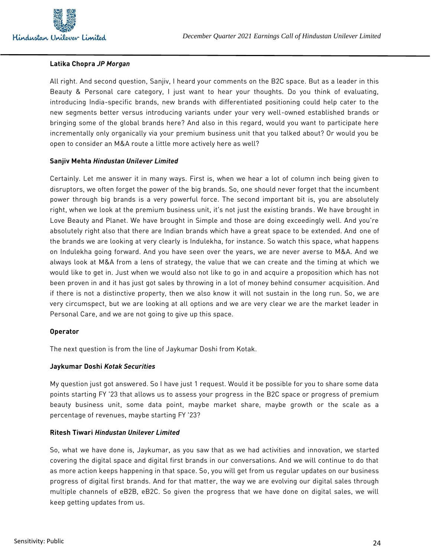

#### **Latika Chopra** *JP Morgan*

All right. And second question, Sanjiv, I heard your comments on the B2C space. But as a leader in this Beauty & Personal care category, I just want to hear your thoughts. Do you think of evaluating, introducing India-specific brands, new brands with differentiated positioning could help cater to the new segments better versus introducing variants under your very well-owned established brands or bringing some of the global brands here? And also in this regard, would you want to participate here incrementally only organically via your premium business unit that you talked about? Or would you be open to consider an M&A route a little more actively here as well?

#### **Sanjiv Mehta** *Hindustan Unilever Limited*

Certainly. Let me answer it in many ways. First is, when we hear a lot of column inch being given to disruptors, we often forget the power of the big brands. So, one should never forget that the incumbent power through big brands is a very powerful force. The second important bit is, you are absolutely right, when we look at the premium business unit, it's not just the existing brands. We have brought in Love Beauty and Planet. We have brought in Simple and those are doing exceedingly well. And you're absolutely right also that there are Indian brands which have a great space to be extended. And one of the brands we are looking at very clearly is Indulekha, for instance. So watch this space, what happens on Indulekha going forward. And you have seen over the years, we are never averse to M&A. And we always look at M&A from a lens of strategy, the value that we can create and the timing at which we would like to get in. Just when we would also not like to go in and acquire a proposition which has not been proven in and it has just got sales by throwing in a lot of money behind consumer acquisition. And if there is not a distinctive property, then we also know it will not sustain in the long run. So, we are very circumspect, but we are looking at all options and we are very clear we are the market leader in Personal Care, and we are not going to give up this space.

#### **Operator**

The next question is from the line of Jaykumar Doshi from Kotak.

#### **Jaykumar Doshi** *Kotak Securities*

My question just got answered. So I have just 1 request. Would it be possible for you to share some data points starting FY '23 that allows us to assess your progress in the B2C space or progress of premium beauty business unit, some data point, maybe market share, maybe growth or the scale as a percentage of revenues, maybe starting FY '23?

#### **Ritesh Tiwari** *Hindustan Unilever Limited*

So, what we have done is, Jaykumar, as you saw that as we had activities and innovation, we started covering the digital space and digital first brands in our conversations. And we will continue to do that as more action keeps happening in that space. So, you will get from us regular updates on our business progress of digital first brands. And for that matter, the way we are evolving our digital sales through multiple channels of eB2B, eB2C. So given the progress that we have done on digital sales, we will keep getting updates from us.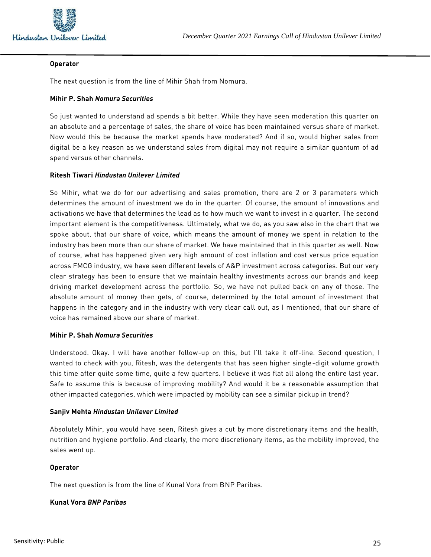

#### **Operator**

The next question is from the line of Mihir Shah from Nomura.

#### **Mihir P. Shah** *Nomura Securities*

So just wanted to understand ad spends a bit better. While they have seen moderation this quarter on an absolute and a percentage of sales, the share of voice has been maintained versus share of market. Now would this be because the market spends have moderated? And if so, would higher sales from digital be a key reason as we understand sales from digital may not require a similar quantum of ad spend versus other channels.

## **Ritesh Tiwari** *Hindustan Unilever Limited*

So Mihir, what we do for our advertising and sales promotion, there are 2 or 3 parameters which determines the amount of investment we do in the quarter. Of course, the amount of innovations and activations we have that determines the lead as to how much we want to invest in a quarter. The second important element is the competitiveness. Ultimately, what we do, as you saw also in the chart that we spoke about, that our share of voice, which means the amount of money we spent in relation to the industry has been more than our share of market. We have maintained that in this quarter as well. Now of course, what has happened given very high amount of cost inflation and cost versus price equation across FMCG industry, we have seen different levels of A&P investment across categories. But our very clear strategy has been to ensure that we maintain healthy investments across our brands and keep driving market development across the portfolio. So, we have not pulled back on any of those. The absolute amount of money then gets, of course, determined by the total amount of investment that happens in the category and in the industry with very clear call out, as I mentioned, that our share of voice has remained above our share of market.

## **Mihir P. Shah** *Nomura Securities*

Understood. Okay. I will have another follow-up on this, but I'll take it off-line. Second question, I wanted to check with you, Ritesh, was the detergents that has seen higher single-digit volume growth this time after quite some time, quite a few quarters. I believe it was flat all along the entire last year. Safe to assume this is because of improving mobility? And would it be a reasonable assumption that other impacted categories, which were impacted by mobility can see a similar pickup in trend?

## **Sanjiv Mehta** *Hindustan Unilever Limited*

Absolutely Mihir, you would have seen, Ritesh gives a cut by more discretionary items and the health, nutrition and hygiene portfolio. And clearly, the more discretionary items, as the mobility improved, the sales went up.

## **Operator**

The next question is from the line of Kunal Vora from BNP Paribas.

# **Kunal Vora** *BNP Paribas*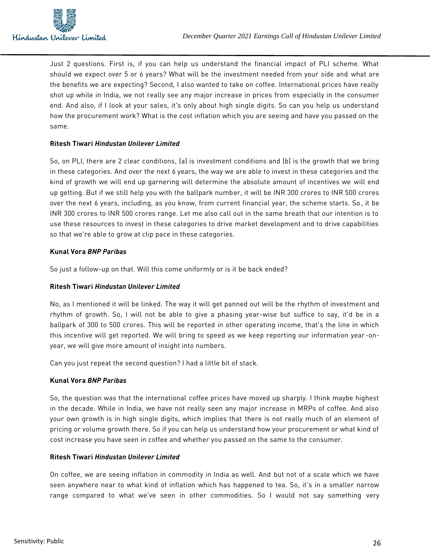Just 2 questions. First is, if you can help us understand the financial impact of PLI scheme. What should we expect over 5 or 6 years? What will be the investment needed from your side and what are the benefits we are expecting? Second, I also wanted to take on coffee. International prices have really shot up while in India, we not really see any major increase in prices from especially in the consumer end. And also, if I look at your sales, it's only about high single digits. So can you help us understand how the procurement work? What is the cost inflation which you are seeing and have you passed on the same.

# **Ritesh Tiwari** *Hindustan Unilever Limited*

So, on PLI, there are 2 clear conditions, (a) is investment conditions and (b) is the growth that we bring in these categories. And over the next 6 years, the way we are able to invest in these categories and the kind of growth we will end up garnering will determine the absolute amount of incentives we will end up getting. But if we still help you with the ballpark number, it will be INR 300 crores to INR 500 crores over the next 6 years, including, as you know, from current financial year, the scheme starts. So, it be INR 300 crores to INR 500 crores range. Let me also call out in the same breath that our intention is to use these resources to invest in these categories to drive market development and to drive capabilities so that we're able to grow at clip pace in these categories.

# **Kunal Vora** *BNP Paribas*

So just a follow-up on that. Will this come uniformly or is it be back ended?

## **Ritesh Tiwari** *Hindustan Unilever Limited*

No, as I mentioned it will be linked. The way it will get panned out will be the rhythm of investment and rhythm of growth. So, I will not be able to give a phasing year-wise but suffice to say, it'd be in a ballpark of 300 to 500 crores. This will be reported in other operating income, that's the line in which this incentive will get reported. We will bring to speed as we keep reporting our information year -onyear, we will give more amount of insight into numbers.

Can you just repeat the second question? I had a little bit of stack.

## **Kunal Vora** *BNP Paribas*

So, the question was that the international coffee prices have moved up sharply. I think maybe highest in the decade. While in India, we have not really seen any major increase in MRPs of coffee. And also your own growth is in high single digits, which implies that there is not really much of an element of pricing or volume growth there. So if you can help us understand how your procurement or what kind of cost increase you have seen in coffee and whether you passed on the same to the consumer.

## **Ritesh Tiwari** *Hindustan Unilever Limited*

On coffee, we are seeing inflation in commodity in India as well. And but not of a scale which we have seen anywhere near to what kind of inflation which has happened to tea. So, it's in a smaller narrow range compared to what we've seen in other commodities. So I would not say something very